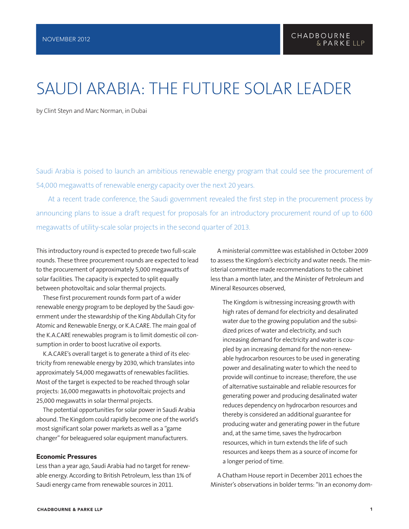## SAUDI ARABIA: THE FUTURE SOLAR LEADER

by Clint Steyn and Marc Norman, in Dubai

Saudi Arabia is poised to launch an ambitious renewable energy program that could see the procurement of 54,000 megawatts of renewable energy capacity over the next 20 years.

At a recent trade conference, the Saudi government revealed the first step in the procurement process by announcing plans to issue a draft request for proposals for an introductory procurement round of up to 600 megawatts of utility-scale solar projects in the second quarter of 2013.

This introductory round is expected to precede two full-scale rounds. These three procurement rounds are expected to lead to the procurement of approximately 5,000 megawatts of solar facilities. The capacity is expected to split equally between photovoltaic and solar thermal projects.

These first procurement rounds form part of a wider renewable energy program to be deployed by the Saudi government under the stewardship of the King Abdullah City for Atomic and Renewable Energy, or K.A.CARE. The main goal of the K.A.CARE renewables program is to limit domestic oil consumption in order to boost lucrative oil exports.

K.A.CARE's overall target is to generate a third of its electricity from renewable energy by 2030, which translates into approximately 54,000 megawatts of renewables facilities. Most of the target is expected to be reached through solar projects: 16,000 megawatts in photovoltaic projects and 25,000 megawatts in solar thermal projects.

The potential opportunities for solar power in Saudi Arabia abound. The Kingdom could rapidly become one of the world's most significant solar power markets as well as a "game changer" for beleaguered solar equipment manufacturers.

#### Economic Pressures

Less than a year ago, Saudi Arabia had no target for renewable energy. According to British Petroleum, less than 1% of Saudi energy came from renewable sources in 2011.

A ministerial committee was established in October 2009 to assess the Kingdom's electricity and water needs. The ministerial committee made recommendations to the cabinet less than a month later, and the Minister of Petroleum and Mineral Resources observed,

The Kingdom is witnessing increasing growth with high rates of demand for electricity and desalinated water due to the growing population and the subsidized prices of water and electricity, and such increasing demand for electricity and water is coupled by an increasing demand for the non-renewable hydrocarbon resources to be used in generating power and desalinating water to which the need to provide will continue to increase; therefore, the use of alternative sustainable and reliable resources for generating power and producing desalinated water reduces dependency on hydrocarbon resources and thereby is considered an additional guarantee for producing water and generating power in the future and, at the same time, saves the hydrocarbon resources, which in turn extends the life of such resources and keeps them as a source of income for a longer period of time.

A Chatham House report in December 2011 echoes the Minister's observations in bolder terms: "In an economy dom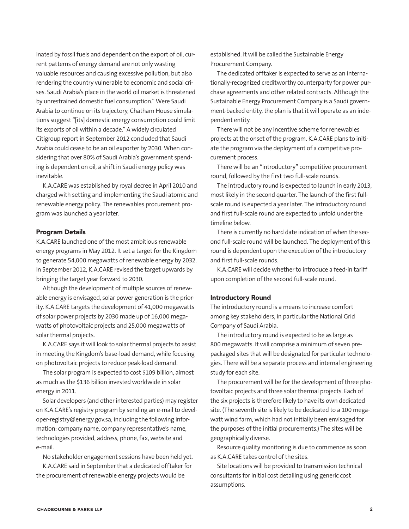inated by fossil fuels and dependent on the export of oil, current patterns of energy demand are not only wasting valuable resources and causing excessive pollution, but also rendering the country vulnerable to economic and social crises. Saudi Arabia's place in the world oil market is threatened by unrestrained domestic fuel consumption." Were Saudi Arabia to continue on its trajectory, Chatham House simulations suggest "[its] domestic energy consumption could limit its exports of oil within a decade." A widely circulated Citigroup report in September 2012 concluded that Saudi Arabia could cease to be an oil exporter by 2030. When considering that over 80% of Saudi Arabia's government spending is dependent on oil, a shift in Saudi energy policy was inevitable.

K.A.CARE was established by royal decree in April 2010 and charged with setting and implementing the Saudi atomic and renewable energy policy. The renewables procurement program was launched a year later.

#### Program Details

K.A.CARE launched one of the most ambitious renewable energy programs in May 2012. It set a target for the Kingdom to generate 54,000 megawatts of renewable energy by 2032. In September 2012, K.A.CARE revised the target upwards by bringing the target year forward to 2030.

Although the development of multiple sources of renewable energy is envisaged, solar power generation is the priority. K.A.CARE targets the development of 41,000 megawatts of solar power projects by 2030 made up of 16,000 megawatts of photovoltaic projects and 25,000 megawatts of solar thermal projects.

K.A.CARE says it will look to solar thermal projects to assist in meeting the Kingdom's base-load demand, while focusing on photovoltaic projects to reduce peak-load demand.

The solar program is expected to cost \$109 billion, almost as much as the \$136 billion invested worldwide in solar energy in 2011.

Solar developers (and other interested parties) may register on K.A.CARE's registry program by sending an e-mail to developer-registry@energy.gov.sa, including the following information: company name, company representative's name, technologies provided, address, phone, fax, website and e-mail.

No stakeholder engagement sessions have been held yet.

K.A.CARE said in September that a dedicated offtaker for the procurement of renewable energy projects would be

established. It will be called the Sustainable Energy Procurement Company.

The dedicated offtaker is expected to serve as an internationally-recognized creditworthy counterparty for power purchase agreements and other related contracts. Although the Sustainable Energy Procurement Company is a Saudi government-backed entity, the plan is that it will operate as an independent entity.

There will not be any incentive scheme for renewables projects at the onset of the program. K.A.CARE plans to initiate the program via the deployment of a competitive procurement process.

There will be an "introductory" competitive procurement round, followed by the first two full-scale rounds.

The introductory round is expected to launch in early 2013, most likely in the second quarter. The launch of the first fullscale round is expected a year later. The introductory round and first full-scale round are expected to unfold under the timeline below.

There is currently no hard date indication of when the second full-scale round will be launched. The deployment of this round is dependent upon the execution of the introductory and first full-scale rounds.

K.A.CARE will decide whether to introduce a feed-in tariff upon completion of the second full-scale round.

#### Introductory Round

The introductory round is a means to increase comfort among key stakeholders, in particular the National Grid Company of Saudi Arabia.

The introductory round is expected to be as large as 800 megawatts. It will comprise a minimum of seven prepackaged sites that will be designated for particular technologies. There will be a separate process and internal engineering study for each site.

The procurement will be for the development of three photovoltaic projects and three solar thermal projects. Each of the six projects is therefore likely to have its own dedicated site. (The seventh site is likely to be dedicated to a 100 megawatt wind farm, which had not initially been envisaged for the purposes of the initial procurements.) The sites will be geographically diverse.

Resource quality monitoring is due to commence as soon as K.A.CARE takes control of the sites.

Site locations will be provided to transmission technical consultants for initial cost detailing using generic cost assumptions.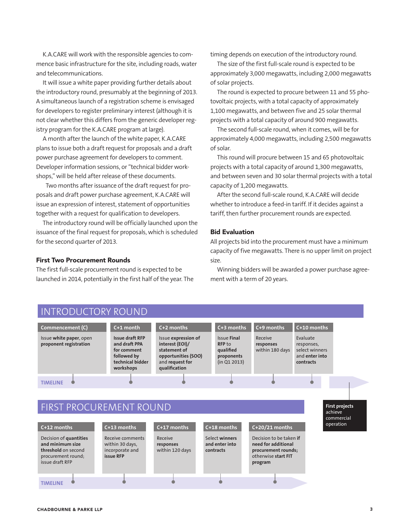K.A.CARE will work with the responsible agencies to commence basic infrastructure for the site, including roads, water and telecommunications.

It will issue a white paper providing further details about the introductory round, presumably at the beginning of 2013. A simultaneous launch of a registration scheme is envisaged for developers to register preliminary interest (although it is not clear whether this differs from the generic developer registry program for the K.A.CARE program at large).

A month after the launch of the white paper, K.A.CARE plans to issue both a draft request for proposals and a draft power purchase agreement for developers to comment. Developer information sessions, or "technical bidder workshops," will be held after release of these documents.

Two months after issuance of the draft request for proposals and draft power purchase agreement, K.A.CARE will issue an expression of interest, statement of opportunities together with a request for qualification to developers.

The introductory round will be officially launched upon the issuance of the final request for proposals, which is scheduled for the second quarter of 2013.

#### First Two Procurement Rounds

The first full-scale procurement round is expected to be launched in 2014, potentially in the first half of the year. The timing depends on execution of the introductory round.

The size of the first full-scale round is expected to be approximately 3,000 megawatts, including 2,000 megawatts of solar projects.

The round is expected to procure between 11 and 55 photovoltaic projects, with a total capacity of approximately 1,100 megawatts, and between five and 25 solar thermal projects with a total capacity of around 900 megawatts.

The second full-scale round, when it comes, will be for approximately 4,000 megawatts, including 2,500 megawatts of solar.

This round will procure between 15 and 65 photovoltaic projects with a total capacity of around 1,300 megawatts, and between seven and 30 solar thermal projects with a total capacity of 1,200 megawatts.

After the second full-scale round, K.A.CARE will decide whether to introduce a feed-in tariff. If it decides against a tariff, then further procurement rounds are expected.

#### Bid Evaluation

All projects bid into the procurement must have a minimum capacity of five megawatts. There is no upper limit on project size.

Winning bidders will be awarded a power purchase agreement with a term of 20 years.

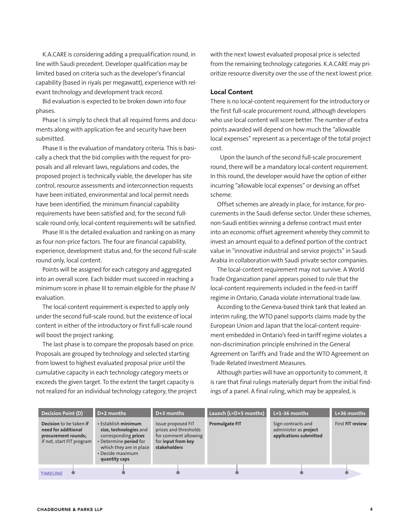K.A.CARE is considering adding a prequalification round, in line with Saudi precedent. Developer qualification may be limited based on criteria such as the developer's financial capability (based in riyals per megawatt), experience with relevant technology and development track record.

Bid evaluation is expected to be broken down into four phases.

Phase I is simply to check that all required forms and documents along with application fee and security have been submitted.

Phase II is the evaluation of mandatory criteria. This is basically a check that the bid complies with the request for proposals and all relevant laws, regulations and codes, the proposed project is technically viable, the developer has site control, resource assessments and interconnection requests have been initiated, environmental and local permit needs have been identified, the minimum financial capability requirements have been satisfied and, for the second fullscale round only, local-content requirements will be satisfied.

Phase III is the detailed evaluation and ranking on as many as four non-price factors. The four are financial capability, experience, development status and, for the second full-scale round only, local content.

Points will be assigned for each category and aggregated into an overall score. Each bidder must succeed in reaching a minimum score in phase III to remain eligible for the phase IV evaluation.

The local-content requirement is expected to apply only under the second full-scale round, but the existence of local content in either of the introductory or first full-scale round will boost the project ranking.

The last phase is to compare the proposals based on price. Proposals are grouped by technology and selected starting from lowest to highest evaluated proposal price until the cumulative capacity in each technology category meets or exceeds the given target. To the extent the target capacity is not realized for an individual technology category, the project with the next lowest evaluated proposal price is selected from the remaining technology categories. K.A.CARE may prioritize resource diversity over the use of the next lowest price.

#### Local Content

There is no local-content requirement for the introductory or the first full-scale procurement round, although developers who use local content will score better. The number of extra points awarded will depend on how much the "allowable local expenses" represent as a percentage of the total project cost.

Upon the launch of the second full-scale procurement round, there will be a mandatory local-content requirement. In this round, the developer would have the option of either incurring "allowable local expenses" or devising an offset scheme.

Offset schemes are already in place, for instance, for procurements in the Saudi defense sector. Under these schemes, non-Saudi entities winning a defense contract must enter into an economic offset agreement whereby they commit to invest an amount equal to a defined portion of the contract value in "innovative industrial and service projects" in Saudi Arabia in collaboration with Saudi private sector companies.

The local-content requirement may not survive. A World Trade Organization panel appears poised to rule that the local-content requirements included in the feed-in tariff regime in Ontario, Canada violate international trade law.

According to the Geneva-based think tank that leaked an interim ruling, the WTO panel supports claims made by the European Union and Japan that the local-content requirement embedded in Ontario's feed-in tariff regime violates a non-discrimination principle enshrined in the General Agreement on Tariffs and Trade and the WTO Agreement on Trade-Related Investment Measures.

Although parties will have an opportunity to comment, it is rare that final rulings materially depart from the initial findings of a panel. A final ruling, which may be appealed, is

| <b>Decision Point (D)</b>                                                                          | $D+2$ months                                                                                                                                                    | $D+3$ months                                                                                              | Launch (L=D+5 months) | $L+1-36$ months                                                       | L+36 months      |
|----------------------------------------------------------------------------------------------------|-----------------------------------------------------------------------------------------------------------------------------------------------------------------|-----------------------------------------------------------------------------------------------------------|-----------------------|-----------------------------------------------------------------------|------------------|
| Decision to be taken if<br>need for additional<br>procurement rounds;<br>if not, start FIT program | • Establish minimum<br>size, technologies and<br>corresponding prices<br>• Determine period for<br>which they are in place<br>• Decide maximum<br>quantity caps | Issue proposed FIT<br>prices and thresholds<br>for comment allowing<br>for input from key<br>stakeholders | <b>Promulgate FIT</b> | Sign contracts and<br>administer as project<br>applications submitted | First FIT review |
|                                                                                                    |                                                                                                                                                                 |                                                                                                           |                       |                                                                       |                  |
| <b>TIMELINE</b>                                                                                    |                                                                                                                                                                 |                                                                                                           |                       |                                                                       |                  |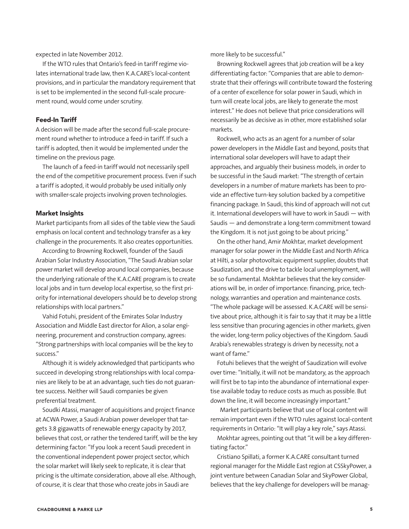expected in late November 2012.

If the WTO rules that Ontario's feed-in tariff regime violates international trade law, then K.A.CARE's local-content provisions, and in particular the mandatory requirement that is set to be implemented in the second full-scale procurement round, would come under scrutiny.

#### Feed-In Tariff

A decision will be made after the second full-scale procurement round whether to introduce a feed-in tariff. If such a tariff is adopted, then it would be implemented under the timeline on the previous page.

The launch of a feed-in tariff would not necessarily spell the end of the competitive procurement process. Even if such a tariff is adopted, it would probably be used initially only with smaller-scale projects involving proven technologies.

#### Market Insights

Market participants from all sides of the table view the Saudi emphasis on local content and technology transfer as a key challenge in the procurements. It also creates opportunities.

According to Browning Rockwell, founder of the Saudi Arabian Solar Industry Association, "The Saudi Arabian solar power market will develop around local companies, because the underlying rationale of the K.A.CARE program is to create local jobs and in turn develop local expertise, so the first priority for international developers should be to develop strong relationships with local partners."

Vahid Fotuhi, president of the Emirates Solar Industry Association and Middle East director for Alion, a solar engineering, procurement and construction company, agrees: "Strong partnerships with local companies will be the key to success."

Although it is widely acknowledged that participants who succeed in developing strong relationships with local companies are likely to be at an advantage, such ties do not guarantee success. Neither will Saudi companies be given preferential treatment.

Soudki Atassi, manager of acquisitions and project finance at ACWA Power, a Saudi Arabian power developer that targets 3.8 gigawatts of renewable energy capacity by 2017, believes that cost, or rather the tendered tariff, will be the key determining factor: "If you look a recent Saudi precedent in the conventional independent power project sector, which the solar market will likely seek to replicate, it is clear that pricing is the ultimate consideration, above all else. Although, of course, it is clear that those who create jobs in Saudi are

more likely to be successful."

Browning Rockwell agrees that job creation will be a key differentiating factor: "Companies that are able to demonstrate that their offerings will contribute toward the fostering of a center of excellence for solar power in Saudi, which in turn will create local jobs, are likely to generate the most interest." He does not believe that price considerations will necessarily be as decisive as in other, more established solar markets.

Rockwell, who acts as an agent for a number of solar power developers in the Middle East and beyond, posits that international solar developers will have to adapt their approaches, and arguably their business models, in order to be successful in the Saudi market: "The strength of certain developers in a number of mature markets has been to provide an effective turn-key solution backed by a competitive financing package. In Saudi, this kind of approach will not cut it. International developers will have to work in Saudi — with Saudis — and demonstrate a long-term commitment toward the Kingdom. It is not just going to be about pricing."

On the other hand, Amir Mokhtar, market development manager for solar power in the Middle East and North Africa at Hilti, a solar photovoltaic equipment supplier, doubts that Saudization, and the drive to tackle local unemployment, will be so fundamental. Mokhtar believes that the key considerations will be, in order of importance: financing, price, technology, warranties and operation and maintenance costs. "The whole package will be assessed. K.A.CARE will be sensitive about price, although it is fair to say that it may be a little less sensitive than procuring agencies in other markets, given the wider, long-term policy objectives of the Kingdom. Saudi Arabia's renewables strategy is driven by necessity, not a want of fame."

Fotuhi believes that the weight of Saudization will evolve over time: "Initially, it will not be mandatory, as the approach will first be to tap into the abundance of international expertise available today to reduce costs as much as possible. But down the line, it will become increasingly important."

Market participants believe that use of local content will remain important even if the WTO rules against local-content requirements in Ontario: "It will play a key role," says Atassi.

Mokhtar agrees, pointing out that "it will be a key differentiating factor."

Cristiano Spillati, a former K.A.CARE consultant turned regional manager for the Middle East region at CSSkyPower, a joint venture between Canadian Solar and SkyPower Global, believes that the key challenge for developers will be manag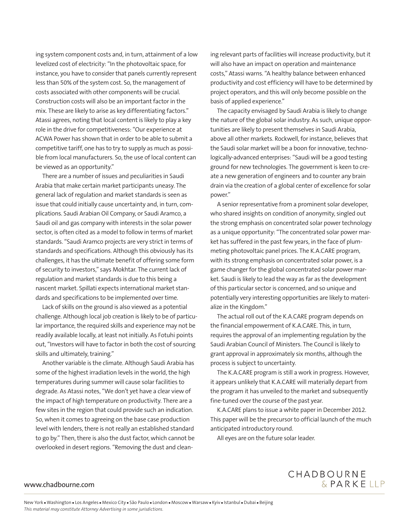ing system component costs and, in turn, attainment of a low levelized cost of electricity: "In the photovoltaic space, for instance, you have to consider that panels currently represent less than 50% of the system cost. So, the management of costs associated with other components will be crucial. Construction costs will also be an important factor in the mix. These are likely to arise as key differentiating factors." Atassi agrees, noting that local content is likely to play a key role in the drive for competitiveness: "Our experience at ACWA Power has shown that in order to be able to submit a competitive tariff, one has to try to supply as much as possible from local manufacturers. So, the use of local content can be viewed as an opportunity."

There are a number of issues and peculiarities in Saudi Arabia that make certain market participants uneasy. The general lack of regulation and market standards is seen as issue that could initially cause uncertainty and, in turn, complications. Saudi Arabian Oil Company, or Saudi Aramco, a Saudi oil and gas company with interests in the solar power sector, is often cited as a model to follow in terms of market standards. "Saudi Aramco projects are very strict in terms of standards and specifications. Although this obviously has its challenges, it has the ultimate benefit of offering some form of security to investors," says Mokhtar. The current lack of regulation and market standards is due to this being a nascent market. Spillati expects international market standards and specifications to be implemented over time.

Lack of skills on the ground is also viewed as a potential challenge. Although local job creation is likely to be of particular importance, the required skills and experience may not be readily available locally, at least not initially. As Fotuhi points out, "Investors will have to factor in both the cost of sourcing skills and ultimately, training."

Another variable is the climate. Although Saudi Arabia has some of the highest irradiation levels in the world, the high temperatures during summer will cause solar facilities to degrade. As Atassi notes, "We don't yet have a clear view of the impact of high temperature on productivity. There are a few sites in the region that could provide such an indication. So, when it comes to agreeing on the base case production level with lenders, there is not really an established standard to go by." Then, there is also the dust factor, which cannot be overlooked in desert regions. "Removing the dust and cleaning relevant parts of facilities will increase productivity, but it will also have an impact on operation and maintenance costs," Atassi warns. "A healthy balance between enhanced productivity and cost efficiency will have to be determined by project operators, and this will only become possible on the basis of applied experience."

The capacity envisaged by Saudi Arabia is likely to change the nature of the global solar industry. As such, unique opportunities are likely to present themselves in Saudi Arabia, above all other markets. Rockwell, for instance, believes that the Saudi solar market will be a boon for innovative, technologically-advanced enterprises: "Saudi will be a good testing ground for new technologies. The government is keen to create a new generation of engineers and to counter any brain drain via the creation of a global center of excellence for solar power."

A senior representative from a prominent solar developer, who shared insights on condition of anonymity, singled out the strong emphasis on concentrated solar power technology as a unique opportunity: "The concentrated solar power market has suffered in the past few years, in the face of plummeting photovoltaic panel prices. The K.A.CARE program, with its strong emphasis on concentrated solar power, is a game changer for the global concentrated solar power market. Saudi is likely to lead the way as far as the development of this particular sector is concerned, and so unique and potentially very interesting opportunities are likely to materialize in the Kingdom."

The actual roll out of the K.A.CARE program depends on the financial empowerment of K.A.CARE. This, in turn, requires the approval of an implementing regulation by the Saudi Arabian Council of Ministers. The Council is likely to grant approval in approximately six months, although the process is subject to uncertainty.

The K.A.CARE program is still a work in progress. However, it appears unlikely that K.A.CARE will materially depart from the program it has unveiled to the market and subsequently fine-tuned over the course of the past year.

K.A.CARE plans to issue a white paper in December 2012. This paper will be the precursor to official launch of the much anticipated introductory round.

All eyes are on the future solar leader.

#### www.chadbourne.com